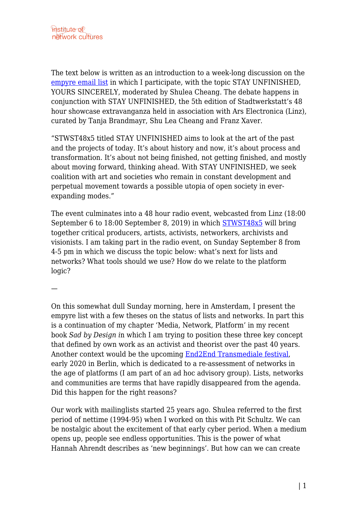The text below is written as an introduction to a week-long discussion on the [empyre email list](http://empyre.library.cornell.edu) in which I participate, with the topic STAY UNFINISHED, YOURS SINCERELY, moderated by Shulea Cheang. The debate happens in conjunction with STAY UNFINISHED, the 5th edition of Stadtwerkstatt's 48 hour showcase extravanganza held in association with Ars Electronica (Linz), curated by Tanja Brandmayr, Shu Lea Cheang and Franz Xaver.

"STWST48x5 titled STAY UNFINISHED aims to look at the art of the past and the projects of today. It's about history and now, it's about process and transformation. It's about not being finished, not getting finished, and mostly about moving forward, thinking ahead. With STAY UNFINISHED, we seek coalition with art and societies who remain in constant development and perpetual movement towards a possible utopia of open society in everexpanding modes."

The event culminates into a 48 hour radio event, webcasted from Linz (18:00 September 6 to 18:00 September 8, 2019) in which [STWST48x5](http://stwst48x5.stwst.at) will bring together critical producers, artists, activists, networkers, archivists and visionists. I am taking part in the radio event, on Sunday September 8 from 4-5 pm in which we discuss the topic below: what's next for lists and networks? What tools should we use? How do we relate to the platform logic?

—

On this somewhat dull Sunday morning, here in Amsterdam, I present the empyre list with a few theses on the status of lists and networks. In part this is a continuation of my chapter 'Media, Network, Platform' in my recent book *Sad by Design i*n which I am trying to position these three key concept that defined by own work as an activist and theorist over the past 40 years. Another context would be the upcoming [End2End Transmediale festival,](https://2020.transmediale.de/festival-2020) early 2020 in Berlin, which is dedicated to a re-assessment of networks in the age of platforms (I am part of an ad hoc advisory group). Lists, networks and communities are terms that have rapidly disappeared from the agenda. Did this happen for the right reasons?

Our work with mailinglists started 25 years ago. Shulea referred to the first period of nettime (1994-95) when I worked on this with Pit Schultz. We can be nostalgic about the excitement of that early cyber period. When a medium opens up, people see endless opportunities. This is the power of what Hannah Ahrendt describes as 'new beginnings'. But how can we can create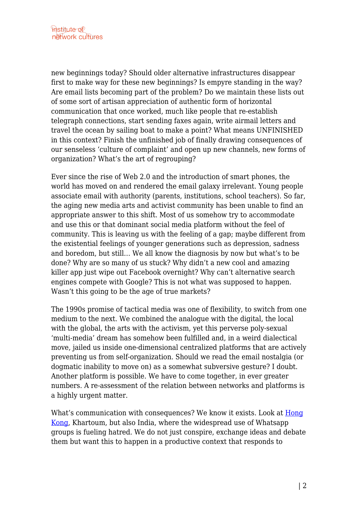new beginnings today? Should older alternative infrastructures disappear first to make way for these new beginnings? Is empyre standing in the way? Are email lists becoming part of the problem? Do we maintain these lists out of some sort of artisan appreciation of authentic form of horizontal communication that once worked, much like people that re-establish telegraph connections, start sending faxes again, write airmail letters and travel the ocean by sailing boat to make a point? What means UNFINISHED in this context? Finish the unfinished job of finally drawing consequences of our senseless 'culture of complaint' and open up new channels, new forms of organization? What's the art of regrouping?

Ever since the rise of Web 2.0 and the introduction of smart phones, the world has moved on and rendered the email galaxy irrelevant. Young people associate email with authority (parents, institutions, school teachers). So far, the aging new media arts and activist community has been unable to find an appropriate answer to this shift. Most of us somehow try to accommodate and use this or that dominant social media platform without the feel of community. This is leaving us with the feeling of a gap; maybe different from the existential feelings of younger generations such as depression, sadness and boredom, but still… We all know the diagnosis by now but what's to be done? Why are so many of us stuck? Why didn't a new cool and amazing killer app just wipe out Facebook overnight? Why can't alternative search engines compete with Google? This is not what was supposed to happen. Wasn't this going to be the age of true markets?

The 1990s promise of tactical media was one of flexibility, to switch from one medium to the next. We combined the analogue with the digital, the local with the global, the arts with the activism, yet this perverse poly-sexual 'multi-media' dream has somehow been fulfilled and, in a weird dialectical move, jailed us inside one-dimensional centralized platforms that are actively preventing us from self-organization. Should we read the email nostalgia (or dogmatic inability to move on) as a somewhat subversive gesture? I doubt. Another platform is possible. We have to come together, in ever greater numbers. A re-assessment of the relation between networks and platforms is a highly urgent matter.

What's communication with consequences? We know it exists. Look at [Hong](https://www.youtube.com/watch?v=BzfgG1CZjc0) [Kong](https://www.youtube.com/watch?v=BzfgG1CZjc0), Khartoum, but also India, where the widespread use of Whatsapp groups is fueling hatred. We do not just conspire, exchange ideas and debate them but want this to happen in a productive context that responds to